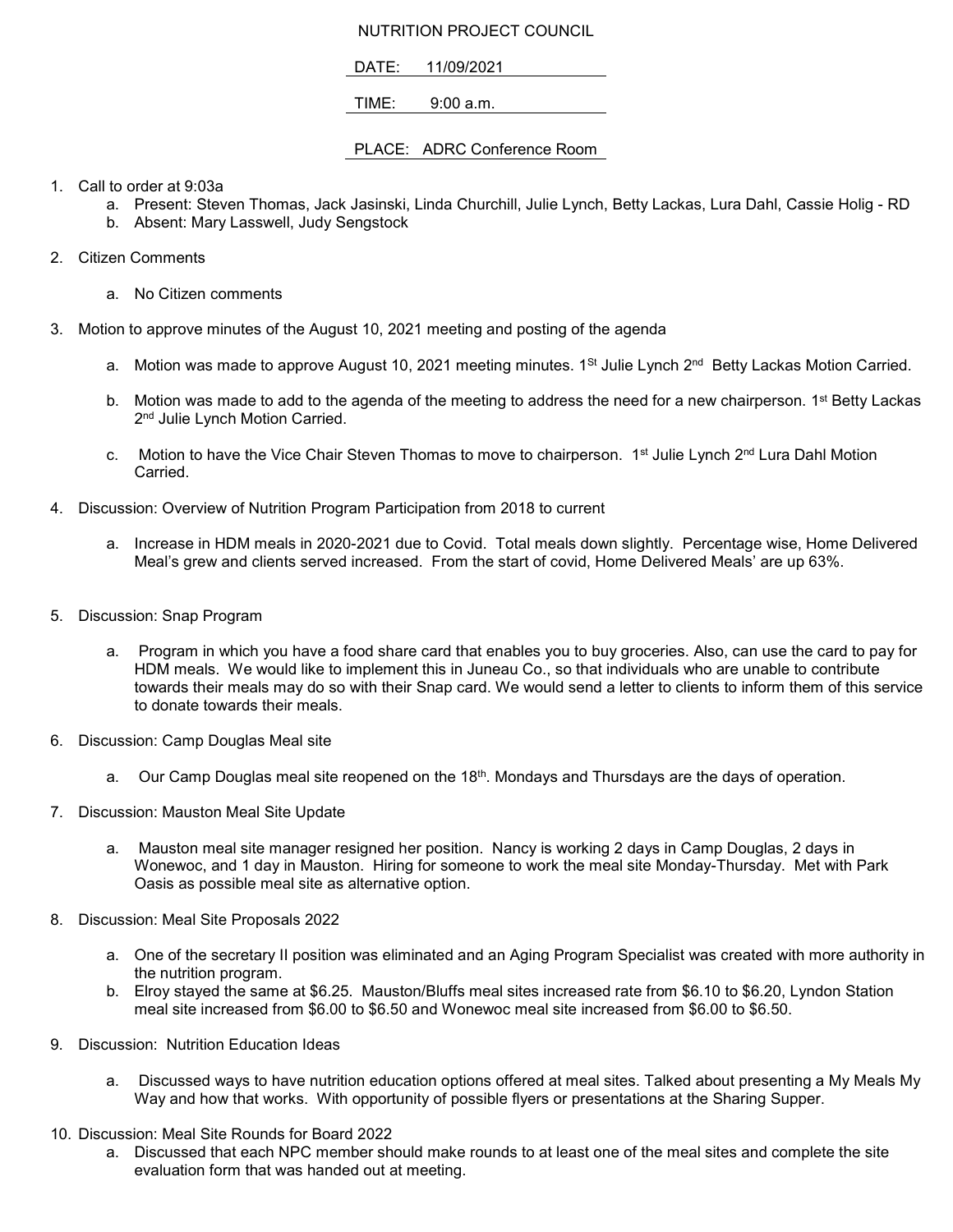## NUTRITION PROJECT COUNCIL

DATE: 11/09/2021

TIME: 9:00 a.m.

## PLACE: ADRC Conference Room

- 1. Call to order at 9:03a
	- a. Present: Steven Thomas, Jack Jasinski, Linda Churchill, Julie Lynch, Betty Lackas, Lura Dahl, Cassie Holig RD
	- b. Absent: Mary Lasswell, Judy Sengstock
- 2. Citizen Comments
	- a. No Citizen comments
- 3. Motion to approve minutes of the August 10, 2021 meeting and posting of the agenda
	- a. Motion was made to approve August 10, 2021 meeting minutes.  $1^{St}$  Julie Lynch  $2^{nd}$  Betty Lackas Motion Carried.
	- b. Motion was made to add to the agenda of the meeting to address the need for a new chairperson. 1<sup>st</sup> Betty Lackas 2<sup>nd</sup> Julie Lynch Motion Carried.
	- c. Motion to have the Vice Chair Steven Thomas to move to chairperson. 1<sup>st</sup> Julie Lynch 2<sup>nd</sup> Lura Dahl Motion Carried.
- 4. Discussion: Overview of Nutrition Program Participation from 2018 to current
	- a. Increase in HDM meals in 2020-2021 due to Covid. Total meals down slightly. Percentage wise, Home Delivered Meal's grew and clients served increased. From the start of covid, Home Delivered Meals' are up 63%.
- 5. Discussion: Snap Program
	- a. Program in which you have a food share card that enables you to buy groceries. Also, can use the card to pay for HDM meals. We would like to implement this in Juneau Co., so that individuals who are unable to contribute towards their meals may do so with their Snap card. We would send a letter to clients to inform them of this service to donate towards their meals.
- 6. Discussion: Camp Douglas Meal site
	- a. Our Camp Douglas meal site reopened on the 18<sup>th</sup>. Mondays and Thursdays are the days of operation.
- 7. Discussion: Mauston Meal Site Update
	- a. Mauston meal site manager resigned her position. Nancy is working 2 days in Camp Douglas, 2 days in Wonewoc, and 1 day in Mauston. Hiring for someone to work the meal site Monday-Thursday. Met with Park Oasis as possible meal site as alternative option.
- 8. Discussion: Meal Site Proposals 2022
	- a. One of the secretary II position was eliminated and an Aging Program Specialist was created with more authority in the nutrition program.
	- b. Elroy stayed the same at \$6.25. Mauston/Bluffs meal sites increased rate from \$6.10 to \$6.20, Lyndon Station meal site increased from \$6.00 to \$6.50 and Wonewoc meal site increased from \$6.00 to \$6.50.
- 9. Discussion: Nutrition Education Ideas
	- a. Discussed ways to have nutrition education options offered at meal sites. Talked about presenting a My Meals My Way and how that works. With opportunity of possible flyers or presentations at the Sharing Supper.
- 10. Discussion: Meal Site Rounds for Board 2022
	- a. Discussed that each NPC member should make rounds to at least one of the meal sites and complete the site evaluation form that was handed out at meeting.